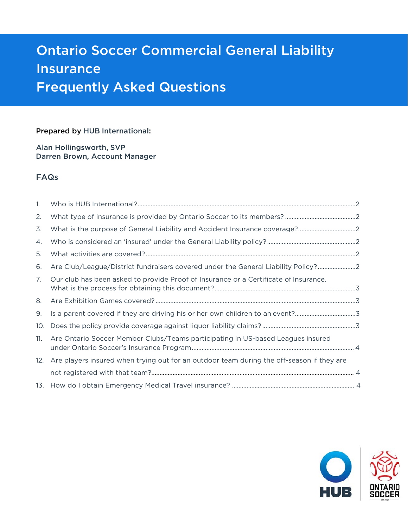# Ontario Soccer Commercial General Liability Insurance Frequently Asked Questions

## Prepared by HUB International:

Alan Hollingsworth, SVP Darren Brown, Account Manager

## FAQs

| $\mathbf{1}$ .  |                                                                                               |  |
|-----------------|-----------------------------------------------------------------------------------------------|--|
| 2.              |                                                                                               |  |
| 3.              |                                                                                               |  |
| 4.              |                                                                                               |  |
| 5.              |                                                                                               |  |
| 6.              | Are Club/League/District fundraisers covered under the General Liability Policy?2             |  |
| 7.              | Our club has been asked to provide Proof of Insurance or a Certificate of Insurance.          |  |
| 8.              |                                                                                               |  |
|                 |                                                                                               |  |
| 9.              | Is a parent covered if they are driving his or her own children to an event?3                 |  |
| 10 <sub>1</sub> |                                                                                               |  |
| 11.             | Are Ontario Soccer Member Clubs/Teams participating in US-based Leagues insured               |  |
|                 | 12. Are players insured when trying out for an outdoor team during the off-season if they are |  |
|                 |                                                                                               |  |

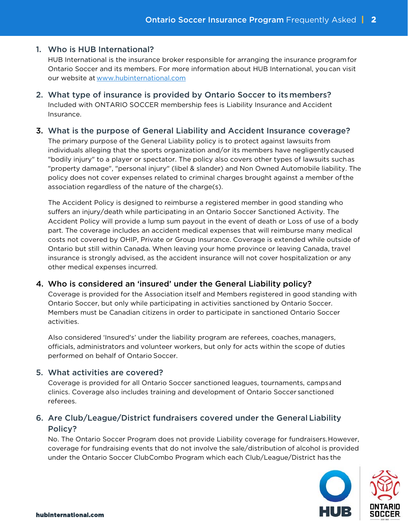## 1. Who is HUB International?

HUB International is the insurance broker responsible for arranging the insurance program for Ontario Soccer and its members. For more information about HUB International, you can visit our website at www.hubinternational.com

2. What type of insurance is provided by Ontario Soccer to its members? Included with ONTARIO SOCCER membership fees is Liability Insurance and Accident Insurance.

## 3. What is the purpose of General Liability and Accident Insurance coverage?

The primary purpose of the General Liability policy is to protect against lawsuits from individuals alleging that the sports organization and/or its members have negligently caused "bodily injury" to a player or spectator. The policy also covers other types of lawsuits such as "property damage", "personal injury" (libel & slander) and Non Owned Automobile liability. The policy does not cover expenses related to criminal charges brought against a member of the association regardless of the nature of the charge(s).

The Accident Policy is designed to reimburse a registered member in good standing who suffers an injury/death while participating in an Ontario Soccer Sanctioned Activity. The Accident Policy will provide a lump sum payout in the event of death or Loss of use of a body part. The coverage includes an accident medical expenses that will reimburse many medical costs not covered by OHIP, Private or Group Insurance. Coverage is extended while outside of Ontario but still within Canada. When leaving your home province or leaving Canada, travel insurance is strongly advised, as the accident insurance will not cover hospitalization or any other medical expenses incurred.

## 4. Who is considered an 'insured' under the General Liability policy?

Coverage is provided for the Association itself and Members registered in good standing with Ontario Soccer, but only while participating in activities sanctioned by Ontario Soccer. Members must be Canadian citizens in order to participate in sanctioned Ontario Soccer activities.

Also considered 'Insured's' under the liability program are referees, coaches, managers, officials, administrators and volunteer workers, but only for acts within the scope of duties performed on behalf of Ontario Soccer.

## 5. What activities are covered?

Coverage is provided for all Ontario Soccer sanctioned leagues, tournaments, camps and clinics. Coverage also includes training and development of Ontario Soccer sanctioned referees.

# 6. Are Club/League/District fundraisers covered under the General Liability Policy?

No. The Ontario Soccer Program does not provide Liability coverage for fundraisers. However, coverage for fundraising events that do not involve the sale/distribution of alcohol is provided under the Ontario Soccer ClubCombo Program which each Club/League/District has the

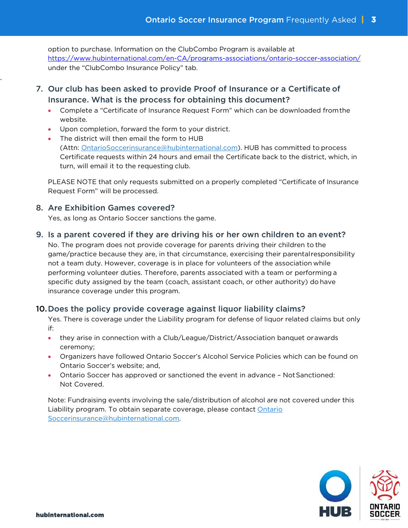option to purchase. Information on the ClubCombo Program is available at https://www.hubinternational.com/en-CA/programs-associations/ontario-soccer-association/ under the "ClubCombo Insurance Policy" tab.

- 7. Our club has been asked to provide Proof of Insurance or a Certificate of Insurance. What is the process for obtaining this document?
	- Complete a "Certificate of Insurance Request Form" which can be downloaded from the website.
	- Upon completion, forward the form to your district.
	- The district will then email the form to HUB (Attn: OntarioSoccerinsurance@hubinternational.com). HUB has committed to process Certificate requests within 24 hours and email the Certificate back to the district, which, in turn, will email it to the requesting club.

PLEASE NOTE that only requests submitted on a properly completed "Certificate of Insurance Request Form" will be processed.

## 8. Are Exhibition Games covered?

.

Yes, as long as Ontario Soccer sanctions the game.

## 9. Is a parent covered if they are driving his or her own children to an event?

No. The program does not provide coverage for parents driving their children to the game/practice because they are, in that circumstance, exercising their parental responsibility not a team duty. However, coverage is in place for volunteers of the association while performing volunteer duties. Therefore, parents associated with a team or performing a specific duty assigned by the team (coach, assistant coach, or other authority) do have insurance coverage under this program.

## 10.Does the policy provide coverage against liquor liability claims?

Yes. There is coverage under the Liability program for defense of liquor related claims but only if:

- they arise in connection with a Club/League/District/Association banquet or awards ceremony;
- Organizers have followed Ontario Soccer's Alcohol Service Policies which can be found on Ontario Soccer's website; and,
- Ontario Soccer has approved or sanctioned the event in advance Not Sanctioned: Not Covered.

Note: Fundraising events involving the sale/distribution of alcohol are not covered under this Liability program. To obtain separate coverage, please contact Ontario Soccerinsurance@hubinternational.com.